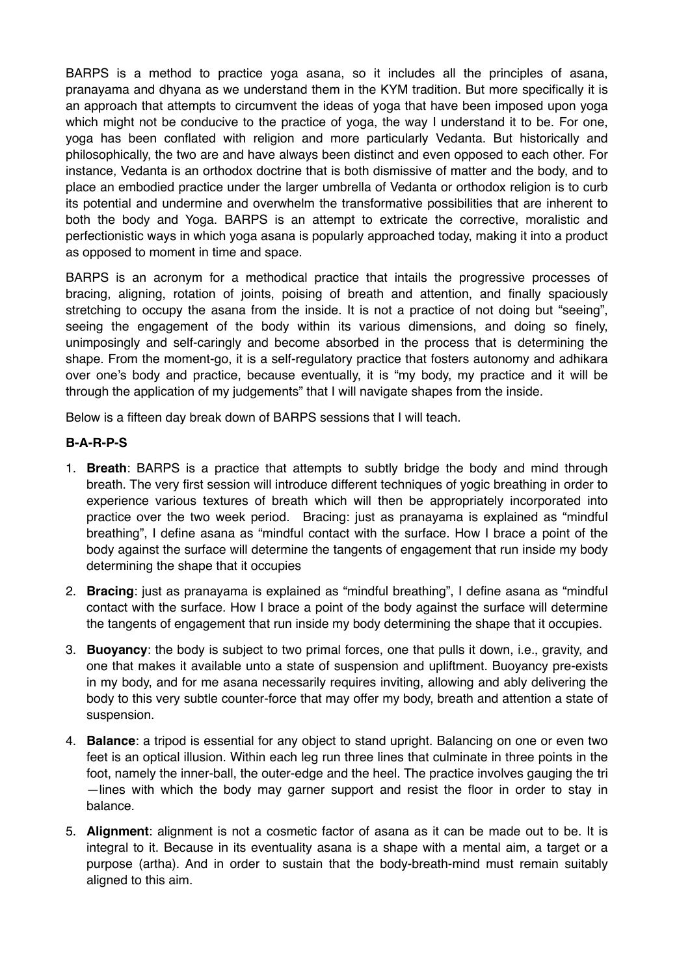BARPS is a method to practice yoga asana, so it includes all the principles of asana, pranayama and dhyana as we understand them in the KYM tradition. But more specifically it is an approach that attempts to circumvent the ideas of yoga that have been imposed upon yoga which might not be conducive to the practice of yoga, the way I understand it to be. For one, yoga has been conflated with religion and more particularly Vedanta. But historically and philosophically, the two are and have always been distinct and even opposed to each other. For instance, Vedanta is an orthodox doctrine that is both dismissive of matter and the body, and to place an embodied practice under the larger umbrella of Vedanta or orthodox religion is to curb its potential and undermine and overwhelm the transformative possibilities that are inherent to both the body and Yoga. BARPS is an attempt to extricate the corrective, moralistic and perfectionistic ways in which yoga asana is popularly approached today, making it into a product as opposed to moment in time and space.

BARPS is an acronym for a methodical practice that intails the progressive processes of bracing, aligning, rotation of joints, poising of breath and attention, and finally spaciously stretching to occupy the asana from the inside. It is not a practice of not doing but "seeing", seeing the engagement of the body within its various dimensions, and doing so finely, unimposingly and self-caringly and become absorbed in the process that is determining the shape. From the moment-go, it is a self-regulatory practice that fosters autonomy and adhikara over one's body and practice, because eventually, it is "my body, my practice and it will be through the application of my judgements" that I will navigate shapes from the inside.

Below is a fifteen day break down of BARPS sessions that I will teach.

## **B-A-R-P-S**

- 1. **Breath**: BARPS is a practice that attempts to subtly bridge the body and mind through breath. The very first session will introduce different techniques of yogic breathing in order to experience various textures of breath which will then be appropriately incorporated into practice over the two week period. Bracing: just as pranayama is explained as "mindful breathing", I define asana as "mindful contact with the surface. How I brace a point of the body against the surface will determine the tangents of engagement that run inside my body determining the shape that it occupies
- 2. **Bracing**: just as pranayama is explained as "mindful breathing", I define asana as "mindful contact with the surface. How I brace a point of the body against the surface will determine the tangents of engagement that run inside my body determining the shape that it occupies.
- 3. **Buoyancy**: the body is subject to two primal forces, one that pulls it down, i.e., gravity, and one that makes it available unto a state of suspension and upliftment. Buoyancy pre-exists in my body, and for me asana necessarily requires inviting, allowing and ably delivering the body to this very subtle counter-force that may offer my body, breath and attention a state of suspension.
- 4. **Balance**: a tripod is essential for any object to stand upright. Balancing on one or even two feet is an optical illusion. Within each leg run three lines that culminate in three points in the foot, namely the inner-ball, the outer-edge and the heel. The practice involves gauging the tri —lines with which the body may garner support and resist the floor in order to stay in balance.
- 5. **Alignment**: alignment is not a cosmetic factor of asana as it can be made out to be. It is integral to it. Because in its eventuality asana is a shape with a mental aim, a target or a purpose (artha). And in order to sustain that the body-breath-mind must remain suitably aligned to this aim.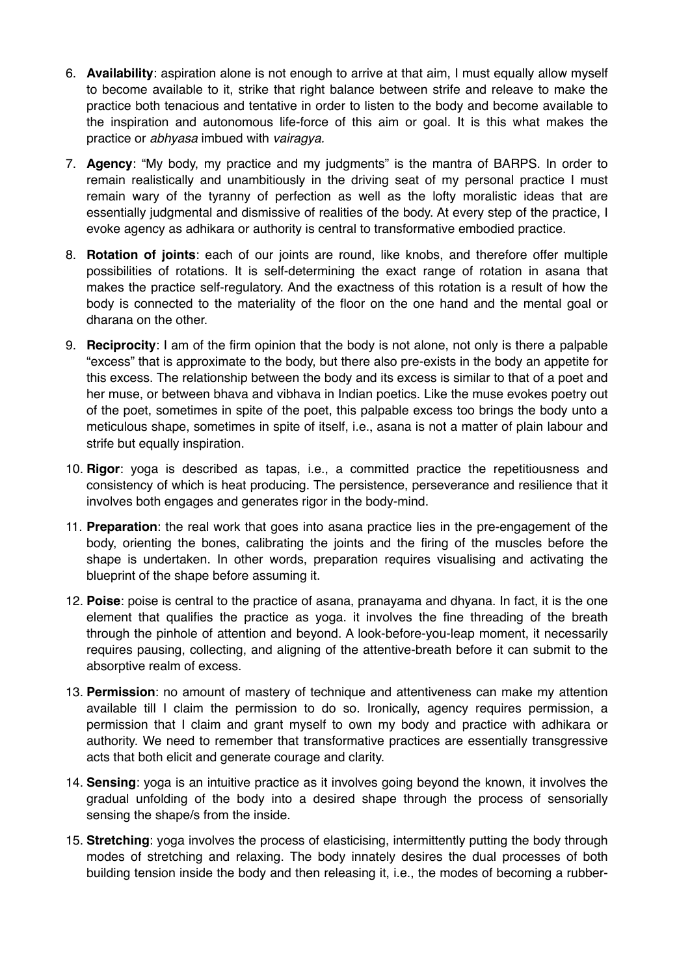- 6. **Availability**: aspiration alone is not enough to arrive at that aim, I must equally allow myself to become available to it, strike that right balance between strife and releave to make the practice both tenacious and tentative in order to listen to the body and become available to the inspiration and autonomous life-force of this aim or goal. It is this what makes the practice or *abhyasa* imbued with *vairagya.*
- 7. **Agency**: "My body, my practice and my judgments" is the mantra of BARPS. In order to remain realistically and unambitiously in the driving seat of my personal practice I must remain wary of the tyranny of perfection as well as the lofty moralistic ideas that are essentially judgmental and dismissive of realities of the body. At every step of the practice, I evoke agency as adhikara or authority is central to transformative embodied practice.
- 8. **Rotation of joints**: each of our joints are round, like knobs, and therefore offer multiple possibilities of rotations. It is self-determining the exact range of rotation in asana that makes the practice self-regulatory. And the exactness of this rotation is a result of how the body is connected to the materiality of the floor on the one hand and the mental goal or dharana on the other.
- 9. **Reciprocity**: I am of the firm opinion that the body is not alone, not only is there a palpable "excess" that is approximate to the body, but there also pre-exists in the body an appetite for this excess. The relationship between the body and its excess is similar to that of a poet and her muse, or between bhava and vibhava in Indian poetics. Like the muse evokes poetry out of the poet, sometimes in spite of the poet, this palpable excess too brings the body unto a meticulous shape, sometimes in spite of itself, i.e., asana is not a matter of plain labour and strife but equally inspiration.
- 10. **Rigor**: yoga is described as tapas, i.e., a committed practice the repetitiousness and consistency of which is heat producing. The persistence, perseverance and resilience that it involves both engages and generates rigor in the body-mind.
- 11. **Preparation**: the real work that goes into asana practice lies in the pre-engagement of the body, orienting the bones, calibrating the joints and the firing of the muscles before the shape is undertaken. In other words, preparation requires visualising and activating the blueprint of the shape before assuming it.
- 12. **Poise**: poise is central to the practice of asana, pranayama and dhyana. In fact, it is the one element that qualifies the practice as yoga. it involves the fine threading of the breath through the pinhole of attention and beyond. A look-before-you-leap moment, it necessarily requires pausing, collecting, and aligning of the attentive-breath before it can submit to the absorptive realm of excess.
- 13. **Permission**: no amount of mastery of technique and attentiveness can make my attention available till I claim the permission to do so. Ironically, agency requires permission, a permission that I claim and grant myself to own my body and practice with adhikara or authority. We need to remember that transformative practices are essentially transgressive acts that both elicit and generate courage and clarity.
- 14. **Sensing**: yoga is an intuitive practice as it involves going beyond the known, it involves the gradual unfolding of the body into a desired shape through the process of sensorially sensing the shape/s from the inside.
- 15. **Stretching**: yoga involves the process of elasticising, intermittently putting the body through modes of stretching and relaxing. The body innately desires the dual processes of both building tension inside the body and then releasing it, i.e., the modes of becoming a rubber-